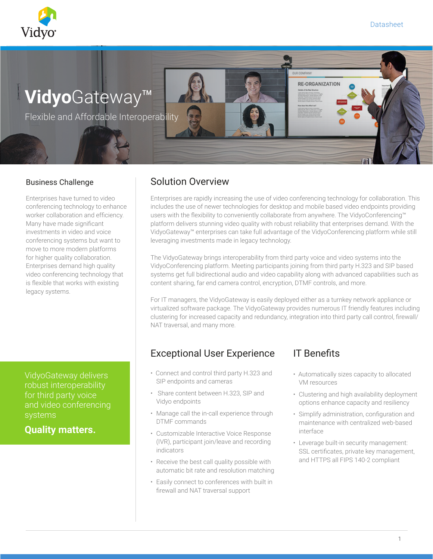

# **Vidyo**Gateway™

Flexible and Affordable Interoperability

Enterprises have turned to video conferencing technology to enhance worker collaboration and efficiency. Many have made significant investments in video and voice conferencing systems but want to move to more modern platforms for higher quality collaboration. Enterprises demand high quality video conferencing technology that is flexible that works with existing legacy systems.

VidyoGateway delivers robust interoperability for third party voice and video conferencing

**Quality matters.**

#### Business Challenge **Solution Overview**

Enterprises are rapidly increasing the use of video conferencing technology for collaboration. This includes the use of newer technologies for desktop and mobile based video endpoints providing users with the flexibility to conveniently collaborate from anywhere. The VidyoConferencing™ platform delivers stunning video quality with robust reliability that enterprises demand. With the VidyoGateway™ enterprises can take full advantage of the VidyoConferencing platform while still leveraging investments made in legacy technology.

The VidyoGateway brings interoperability from third party voice and video systems into the VidyoConferencing platform. Meeting participants joining from third party H.323 and SIP based systems get full bidirectional audio and video capability along with advanced capabilities such as content sharing, far end camera control, encryption, DTMF controls, and more.

For IT managers, the VidyoGateway is easily deployed either as a turnkey network appliance or virtualized software package. The VidyoGateway provides numerous IT friendly features including clustering for increased capacity and redundancy, integration into third party call control, firewall/ NAT traversal, and many more.

### Exceptional User Experience

- Connect and control third party H.323 and SIP endpoints and cameras
- Share content between H.323, SIP and Vidyo endpoints
- Manage call the in-call experience through DTMF commands
- Customizable Interactive Voice Response (IVR), participant join/leave and recording indicators
- Receive the best call quality possible with automatic bit rate and resolution matching
- Easily connect to conferences with built in firewall and NAT traversal support

## IT Benefits

**RE-ORGANIZATION** 

- Automatically sizes capacity to allocated VM resources
- Clustering and high availability deployment options enhance capacity and resiliency
- Simplify administration, configuration and maintenance with centralized web-based interface
- Leverage built-in security management: SSL certificates, private key management, and HTTPS all FIPS 140-2 compliant